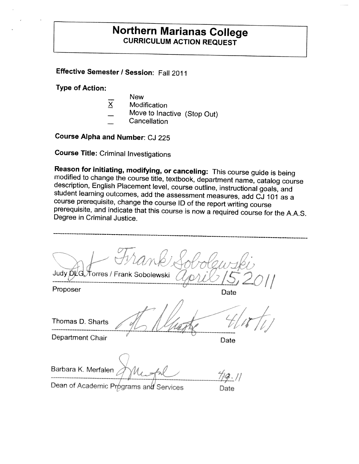# **Northern Marianas College**<br>**CURRICULUM ACTION REQUEST**

## **Effective Semester/ Session:** Fall 2011

**Type of Action:** 

- **New**
- X Modification
- Move to Inactive (Stop Out) Cancellation
- 

**Course Alpha and Number:** CJ 225

**Course Title:** Criminal Investigations

**Reason for initiating, modifying, or canceling:** This course guide is being modified to change the course title, textbook, department name, catalog course description, English Placement level, course outline, instructiona

Judy DLG Torres / Frank Sobolewski Proposer Date Thomas D. Sharts Department Chair **Department Chair Barbara K. Merfalen**  *I/* Dean of Academic Programs and Services **Date**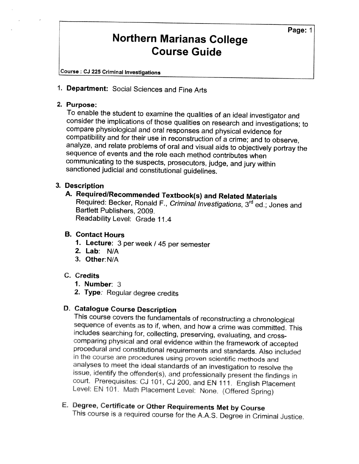**Course** : **CJ 225 Criminal Investigations** 

**1. Department:** Social Sciences and Fine Arts

**2. Purpose:** consider the implications of those qualities on research and investigations; to compare physiological and oral responses and physical evidence for compatibility and for their use in reconstruction of a crime; and to observ communicating to the suspects, prosecutors, judge, and jury within sanctioned judicial and constitutional guidelines.

# **3. Description**

**A. Required/Recommended Textbook(s) and Related Materials** Required: Becker, Ronald F., Criminal Investigations, Required: Becker, Ronald F*., Criminal Investigations*, 3<sup>rd</sup> ed.; Jones and<br>Bartlett Publishers, 2009. Readability Level: Grade 11.4

#### **B. Contact Hours**

- **1. Lecture:** 3 per week / 45 per semester
- **2. Lab: NIA**
- **3. Other:N/A**

#### **C. Credits**

- **1. Number:**  3
- **2. Type:** Regular degree credits

**D. Catalogue Course Description** sequence of events as to if, when, and how a crime was committed. This includes searching for, collecting, preserving, evaluating, and cross-<br>comparing physical and oral evidence within the framework of accepted<br>procedural issue, identify the offender(s), and professionally present the findings in court. Prerequisites: CJ 101, CJ 200, and EN 111. English Placement Level: RN 101. Math Placement Level: None. (Offered Spring)

E. **Degree, Certificate** or Other Requirements Met by Course This course is a required course for the AAS. Degree in Criminal Justice.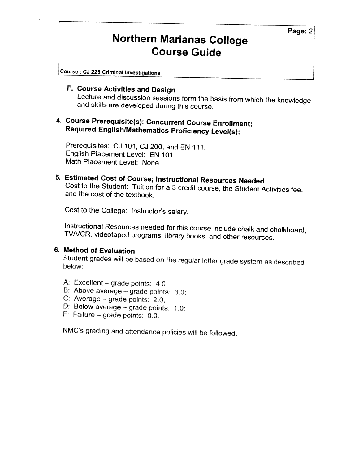**Course** : **CJ 225 Criminal Investigations** 

**F. Course Activities and Design** Lecture and discussion sessions form the basis from which the knowledge and skills are developed during this course.

# **4. Course Prerequisite(s); Concurrent Course Enrollment; Required English/Mathematics Proficiency Level(s):**

Prerequisites: CJ 101, CJ 200, and EN 111. English Placement Level: EN 101. Math Placement Level: None.

**5. Estimated Cost of Course; Instructional Resources Needed**<br>Cost to the Student: Tuition for a 3-credit course, the Student Activities fee,<br>and the cost of the textbook.

Cost to the College: Instructor's salary.

Instructional Resources needed for this course include chalk and chalkboard, TV/VCR, videotaped programs, library books, and other resources.

### **6. Method of Evaluation**

Student grades will be based on the regular letter grade system as described

- A: Excellent  $-$  grade points: 4.0;
- B: Above average  $-$  grade points: 3.0;
- C: Average  $-$  grade points: 2.0;
- D: Below average grade points:  $1.0$ ;<br>F: Failure grade points:  $0.0$ .
- 

NMC's grading and attendance policies will be followed.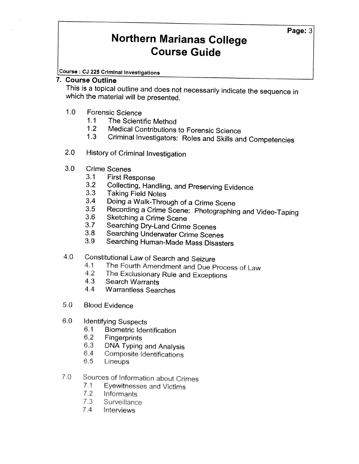**Course** : **CJ 225 Criminal Investigations**

#### **7. Course Outline**

This is a topical outline and does not necessarily indicate the sequence in which the material will be presented.

- 1.0 Forensic Science
	- 1.1 The Scientific Method
	- 1.2 Medical Contributions to Forensic Science<br>1.3 Criminal Investigators: Roles and Skills an
	- Criminal Investigators: Roles and Skills and Competencies
- 2.0 History of Criminal Investigation
- 3.0 Crime Scenes
	- 3.1 First Response<br>3.2 Collecting Han
	- 3.2 Collecting, Handling, and Preserving Evidence<br>3.3 Taking Field Notes<br>3.4 Doing a Walk-Through of a Crime Scene
	-
	-
	- 3.5 Recording a Crime Scene: Photographing and Video-Taping<br>3.6 Sketching a Crime Scene<br>3.7 Searching Dry-Land Crime Scenes
	-
	- 3.7 Searching Dry-Land Crime Scenes<br>3.8 Searching Underwater Crime Scene
	- 3.8 Searching Underwater Crime Scenes<br>3.9 Searching Human-Made Mass Disast
	- 3.9 Searching Human-Made Mass Disasters
- 4.0 Constitutional law of Search and Seizure
	- 4.1 The Fourth Amendment and Due Process of Law<br>4.2 The Exclusionary Rule and Exceptions<br>4.3 Search Warrants
	-
	-
	- 4.4 Warrantless Searches
- 5.0 Blood Evidence
- 6.0 Identifying Suspects
	- 6.1 Biometric Identification
	- 6.2 Fingerprints
	- 6.3 DNA Typing and Analysis 6.4 Composite Identifications
	-
	- 6.5 lineups
- 7.0 Sources of Information about Crimes
	- 7.1 Eyewitnesses and Victims
	- 7.2 Informants
	- 7.3 Surveillance
	- 7.4 Interviews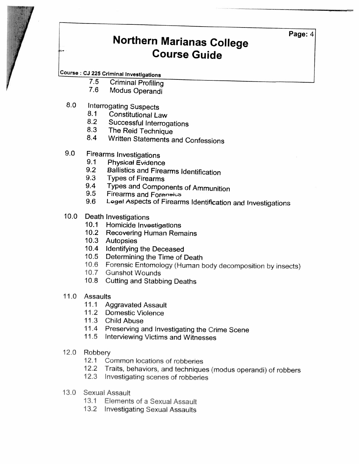## **Course** : **CJ 225 Criminal Investigations**

- 7.5 Criminal Profiling 7.6 Modus Operandi
- 
- 8.0 Interrogating Suspects<br>8.1 Constitutional Li
	- **Constitutional Law**
	-
	-
	- 8.2 Successful Interrogations<br>8.3 The Reid Technique<br>8.4 Written Statements and Confessions
- 9.0 Firearms Investigations<br>9.1 Physical Evidence<br>9.2 Ballistics and Firea
	-
	-
	-
	- 9.2 Ballistics and Firearms Identification<br>9.3 Types of Firearms<br>9.4 Types and Components of Ammunition
	-
	- 9.4 Types and Components of Ammunition<br>9.5 Firearms and Foren<del>eics</del><br>9.6 Legal Aspects of Firearms Identification and Investigations
- -
- 10.0 Death Investigations 10.1 Homicide Investigations 10.2 Recovering Human Remains
	- 10.3 Autopsies
	- 10.4 Identifying the Deceased
	-
	- 10.5 Determining the Time of Death<br>10.6 Forensic Entomology (Human body decomposition by insects)<br>10.7 Gunshot Wounds
	-
	- 10.8 Cutting and Stabbing Deaths
- 11.0 Assaults
	- 11.1 Aggravated Assault
	- 11.2 Domestic Violence
	- 11.3 Child Abuse
	- 11.4 Preserving and Investigating the Crime Scene 11.5 Interviewing Victims and Witnesses
	-
- 12.0 Robbery
	-
	- 12.1 Common locations of robberies<br>12.2 Traits, behaviors, and techniques (modus operandi) of robbers<br>12.3 Investigating scenes of robberies
	-
- 13.0 Sexual Assault
	- 13.1 Elements of a Sexual Assault
	- 13.2 Investigating Sexual Assaults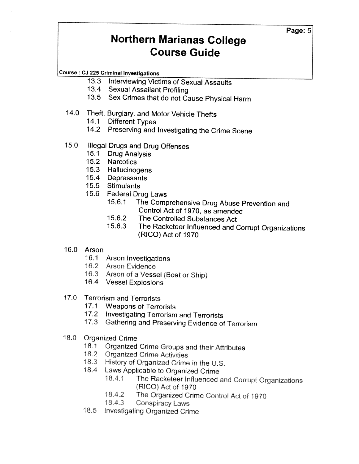**Course** : **CJ 225 Criminal Investigations** 

- 13.3 Interviewing Victims of Sexual Assaults
- 13.4 Sexual Assailant Profiling<br>13.5 Sex Crimes that do not Ca
- Sex Crimes that do not Cause Physical Harm

## 14.0 Theft, Burglary, and Motor Vehicle Thefts

- 14.1 Different Types
- 14.2 Preserving and Investigating the Crime Scene

# 15.0 Illegal Drugs and Drug Offenses<br>15.1 Drug Analysis

- 15.1 Drug Analysis<br>15.2 Narcotics
- **Narcotics**
- 15.3 Hallucinogens<br>15.4 Depressants
- **Depressants**
- 15.5 Stimulants
- 15.6 Federal Drug Laws
	- 15.6.1 The Comprehensive Drug Abuse Prevention and Control Act of 1970, as amended
	- 15.6.2 The Controlled Substances Act
	- 15.6.3 The Racketeer Influenced and Corrupt Organizations (RICO) Act of 1970
- 16.0 Arson
	- 16.1 Arson Investigations
	- 16.2 Arson Evidence
	- 16.3 Arson of a Vessel (Boat or Ship)
	- 16.4 Vessel Explosions
- 17.0 Terrorism and Terrorists
	- 17.1 Weapons of Terrorists
	- 17.2 Investigating Terrorism and Terrorists
	- 17.3 Gathering and Preserving Evidence of Terrorism
- 18.0 Organized Crime
	- 18.1 Organized Crime Groups and their Attributes<br>18.2 Organized Crime Activities
	- **Organized Crime Activities**
	- 18.3 History of Organized Crime in the U.S.
	- 18.4 Laws Applicable to Organized Crime
		- 18.4.1 The Racketeer Influenced and Corrupt Organizations (RICO) Act of 1970
		- 18.4.2 The Organized Crime Control Act of 1970
		- 18.4.3 Conspiracy Laws
	- 18.5 Investigating Organized Crime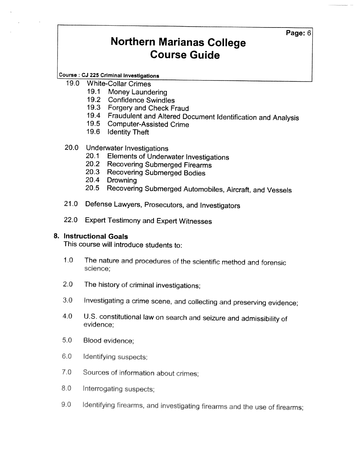**Course** : **CJ 225 Criminal Investigations**

- 19.0 White-Collar Crimes
	- 19.1 Money Laundering<br>19.2 Confidence Swindle
	- **Confidence Swindles**
	- 19.3 Forgery and Check Fraud
	- 19.4 Fraudulent and Altered Document Identification and Analysis 19.5 Computer-Assisted Crime
	-
	- 19.6 Identity Theft

# 20.0 Underwater Investigations<br>20.1 Elements of Underv

- Elements of Underwater Investigations
- 20.2 Recovering Submerged Firearms
- 20.3 Recovering Submerged Bodies<br>20.4 Drowning
- Drowning
- 20.5 Recovering Submerged Automobiles, Aircraft, and Vessels
- 21.0 Defense Lawyers, Prosecutors, and Investigators
- 22.0 Expert Testimony and Expert Witnesses

#### **8. Instructional Goals**

This course will introduce students to:

- 1.0 The nature and procedures of the scientific method and forensic science;
- 2.0 The history of criminal investigations;
- 3.0 Investigating a crime scene, and collecting and preserving evidence;
- 4.0 U.S. constitutional law on search and seizure and admissibility of evidence;
- 5.0 Blood evidence;
- 6.0 Identifying suspects;
- 7.0 Sources of information about crimes;
- 8.0 Interrogating suspects;
- 9.0 Identifying firearms, and investigating firearms and the use of firearms;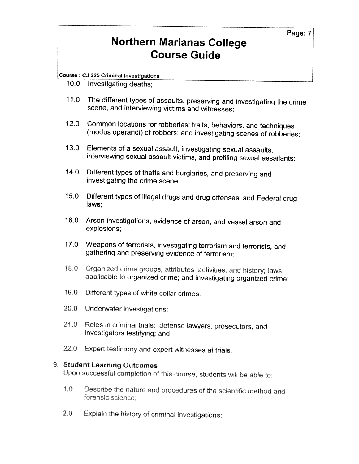**Course** : **CJ 225 Criminal Investigations** 

- 10.0 Investigating deaths;
- 11.0 The different types of assaults, preserving and investigating the crime scene, and interviewing victims and witnesses;
- 12.0 Common locations for robberies; traits, behaviors, and techniques (modus operandi) of robbers; and investigating scenes of robberies;
- 13.0 Elements of a sexual assault, investigating sexual assaults, interviewing sexual assault victims, and profiling sexual assailants;
- 14.0 Different types of thefts and burglaries, and preserving and investigating the crime scene;
- 15.0 Different types of illegal drugs and drug offenses, and Federal drug laws;
- 16.0 Arson investigations, evidence of arson, and vessel arson and explosions;
- 17.0 Weapons of terrorists, investigating terrorism and terrorists, and gathering and preserving evidence of terrorism;
- 18.0 Organized crime groups, attributes, activities, and history; laws applicable to organized crime; and investigating organized crime;
- 19.0 Different types of white collar crimes;
- 20.0 Underwater investigations;
- 21.0 Roles in criminal trials: defense lawyers, prosecutors, and investigators testifying; and
- 22.0 Expert testimony and expert witnesses at trials.

### **9.** Student Learning Outcomes

Upon successful completion of this course, students will be able to:

- 1.0 Describe the nature and procedures of the scientific method and forensic science;
- 2.0 Explain the history of criminal investigations;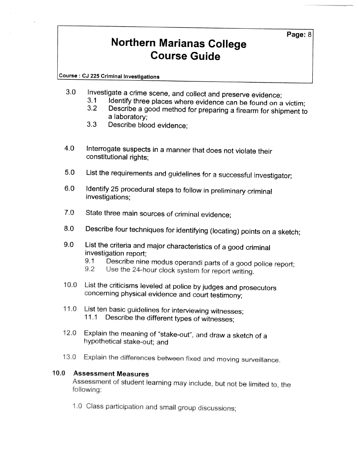**Course** : **CJ 225 Criminal Investigations** 

- -
- 3.0 Investigate a crime scene, and collect and preserve evidence;<br>3.1 Identify three places where evidence can be found on a victim;<br>3.2 Describe a good method for preparing a firearm for shipment to<br>a laboratory;<br>3.3 Desc
	- Describe blood evidence:
- 4.0 Interrogate suspects in a manner that does not violate their constitutional rights;
- 5.0 List the requirements and guidelines for a successful investigator;
- 6.0 Identify 25 procedural steps to follow in preliminary criminal investigations;
- 7.0 State three main sources of criminal evidence;
- 8.0 Describe four techniques for identifying (locating) points on a sketch;
- 9.0 List the criteria and major characteristics of a good criminal<br>investigation report;<br>9.1 Describe nine modus operandi parts of a good police
	- 9.1 Describe nine modus operandi parts of a good police report;<br>9.2 Use the 24-hour clock system for report writing.
	-
- 10.0 List the criticisms leveled at police by judges and prosecutors concerning physical evidence and court testimony;
- 11.0 List ten basic guidelines for interviewing witnesses; 11.1 Describe the different types of witnesses;
- 12.0 Explain the meaning of "stake-out'', and draw a sketch of a hypothetical stake-out; and
- 13.0 Explain the differences between fixed and moving surveillance.

### **10.0** Assessment Measures

Assessment of student learning may include, but not be limited to, the following:

1.0 Class participation and small group discussions;